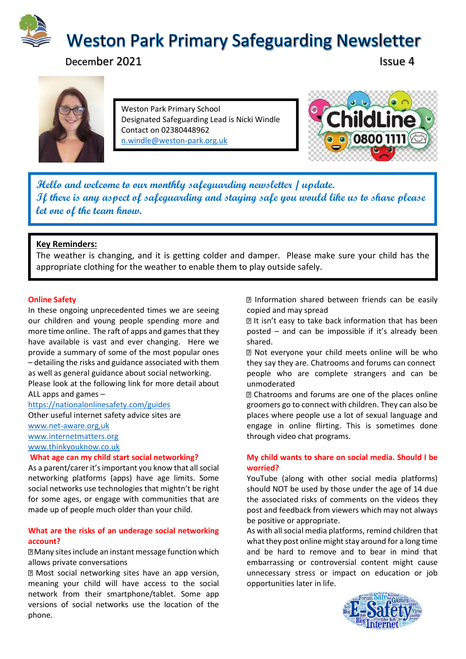

December 2021 **Issue 4** 



Weston Park Primary School Designated Safeguarding Lead is Nicki Windle Contact on 02380448962 [n.windle@weston-park.org.uk](mailto:n.windle@weston-park.org.uk)



**Hello and welcome to our monthly safeguarding newsletter / update. If there is any aspect of safeguarding and staying safe you would like us to share please let one of the team know.** 

### **Key Reminders:**

The weather is changing, and it is getting colder and damper. Please make sure your child has the appropriate clothing for the weather to enable them to play outside safely.

#### **Online Safety**

In these ongoing unprecedented times we are seeing our children and young people spending more and more time online. The raft of apps and games that they have available is vast and ever changing. Here we provide a summary of some of the most popular ones – detailing the risks and guidance associated with them as well as general guidance about social networking.

Please look at the following link for more detail about ALL apps and games –

<https://nationalonlinesafety.com/guides>

Other useful internet safety advice sites are [www.net-aware.org,uk](http://www.net-aware.org,uk/) [www.internetmatters.org](http://www.internetmatters.org/) [www.thinkyouknow.co.uk](http://www.thinkyouknow.co.uk/)

#### **What age can my child start social networking?**

As a parent/carer it's important you know that all social networking platforms (apps) have age limits. Some social networks use technologies that mightn't be right for some ages, or engage with communities that are made up of people much older than your child.

#### **What are the risks of an underage social networking account?**

Many sites include an instant message function which allows private conversations

Most social networking sites have an app version, meaning your child will have access to the social network from their smartphone/tablet. Some app versions of social networks use the location of the phone.

Information shared between friends can be easily copied and may spread

**In** It isn't easy to take back information that has been posted – and can be impossible if it's already been shared.

Not everyone your child meets online will be who they say they are. Chatrooms and forums can connect people who are complete strangers and can be unmoderated

Chatrooms and forums are one of the places online groomers go to connect with children. They can also be places where people use a lot of sexual language and engage in online flirting. This is sometimes done through video chat programs.

#### **My child wants to share on social media. Should I be worried?**

YouTube (along with other social media platforms) should NOT be used by those under the age of 14 due the associated risks of comments on the videos they post and feedback from viewers which may not always be positive or appropriate.

As with all social media platforms, remind children that what they post online might stay around for a long time and be hard to remove and to bear in mind that embarrassing or controversial content might cause unnecessary stress or impact on education or job opportunities later in life.